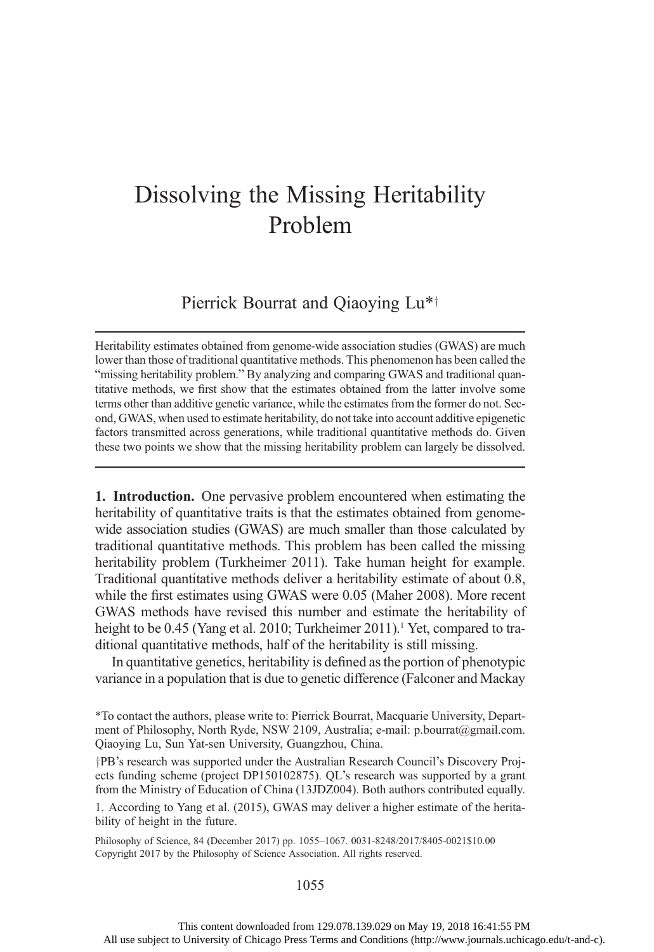## Dissolving the Missing Heritability Problem

## Pierrick Bourrat and Qiaoying Lu\*<sup>†</sup>

Heritability estimates obtained from genome-wide association studies (GWAS) are much lower than those of traditional quantitative methods. This phenomenon has been called the "missing heritability problem." By analyzing and comparing GWAS and traditional quantitative methods, we first show that the estimates obtained from the latter involve some terms other than additive genetic variance, while the estimates from the former do not. Second, GWAS, when used to estimate heritability, do not take into account additive epigenetic factors transmitted across generations, while traditional quantitative methods do. Given these two points we show that the missing heritability problem can largely be dissolved.

1. Introduction. One pervasive problem encountered when estimating the heritability of quantitative traits is that the estimates obtained from genomewide association studies (GWAS) are much smaller than those calculated by traditional quantitative methods. This problem has been called the missing heritability problem (Turkheimer 2011). Take human height for example. Traditional quantitative methods deliver a heritability estimate of about 0.8, while the first estimates using GWAS were 0.05 (Maher 2008). More recent GWAS methods have revised this number and estimate the heritability of height to be 0.45 (Yang et al. 2010; Turkheimer 2011).<sup>1</sup> Yet, compared to traditional quantitative methods, half of the heritability is still missing.

In quantitative genetics, heritability is defined as the portion of phenotypic variance in a population that is due to genetic difference (Falconer and Mackay

\*To contact the authors, please write to: Pierrick Bourrat, Macquarie University, Department of Philosophy, North Ryde, NSW 2109, Australia; e-mail: p.bourrat@gmail.com. Qiaoying Lu, Sun Yat-sen University, Guangzhou, China.

yPB's research was supported under the Australian Research Council's Discovery Projects funding scheme (project DP150102875). QL's research was supported by a grant from the Ministry of Education of China (13JDZ004). Both authors contributed equally.

1. According to Yang et al. (2015), GWAS may deliver a higher estimate of the heritability of height in the future.

Philosophy of Science, 84 (December 2017) pp. 1055–1067. 0031-8248/2017/8405-0021\$10.00 Copyright 2017 by the Philosophy of Science Association. All rights reserved.

## 1055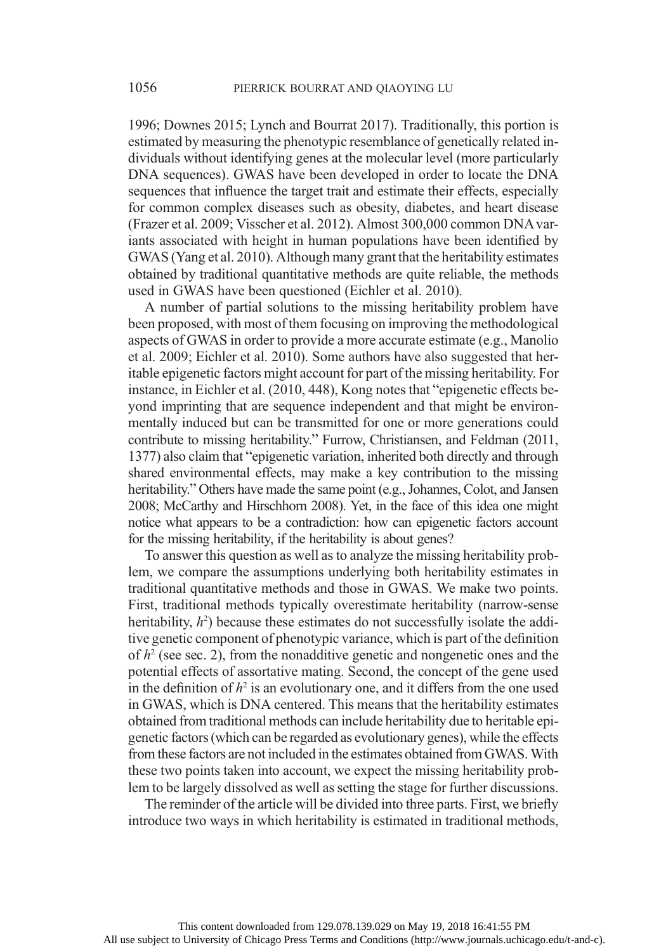1996; Downes 2015; Lynch and Bourrat 2017). Traditionally, this portion is estimated by measuring the phenotypic resemblance of genetically related individuals without identifying genes at the molecular level (more particularly DNA sequences). GWAS have been developed in order to locate the DNA sequences that influence the target trait and estimate their effects, especially for common complex diseases such as obesity, diabetes, and heart disease (Frazer et al. 2009; Visscher et al. 2012). Almost 300,000 common DNA variants associated with height in human populations have been identified by GWAS (Yang et al. 2010). Although many grant that the heritability estimates obtained by traditional quantitative methods are quite reliable, the methods used in GWAS have been questioned (Eichler et al. 2010).

A number of partial solutions to the missing heritability problem have been proposed, with most of them focusing on improving the methodological aspects of GWAS in order to provide a more accurate estimate (e.g., Manolio et al. 2009; Eichler et al. 2010). Some authors have also suggested that heritable epigenetic factors might account for part of the missing heritability. For instance, in Eichler et al. (2010, 448), Kong notes that "epigenetic effects beyond imprinting that are sequence independent and that might be environmentally induced but can be transmitted for one or more generations could contribute to missing heritability." Furrow, Christiansen, and Feldman (2011, 1377) also claim that "epigenetic variation, inherited both directly and through shared environmental effects, may make a key contribution to the missing heritability." Others have made the same point (e.g., Johannes, Colot, and Jansen 2008; McCarthy and Hirschhorn 2008). Yet, in the face of this idea one might notice what appears to be a contradiction: how can epigenetic factors account for the missing heritability, if the heritability is about genes?

To answer this question as well as to analyze the missing heritability problem, we compare the assumptions underlying both heritability estimates in traditional quantitative methods and those in GWAS. We make two points. First, traditional methods typically overestimate heritability (narrow-sense heritability,  $h^2$ ) because these estimates do not successfully isolate the additive genetic component of phenotypic variance, which is part of the definition of  $h^2$  (see sec. 2), from the nonadditive genetic and nongenetic ones and the potential effects of assortative mating. Second, the concept of the gene used in the definition of  $h^2$  is an evolutionary one, and it differs from the one used in GWAS, which is DNA centered. This means that the heritability estimates obtained from traditional methods can include heritability due to heritable epigenetic factors (which can be regarded as evolutionary genes), while the effects from these factors are not included in the estimates obtained from GWAS. With these two points taken into account, we expect the missing heritability problem to be largely dissolved as well as setting the stage for further discussions.

The reminder of the article will be divided into three parts. First, we briefly introduce two ways in which heritability is estimated in traditional methods,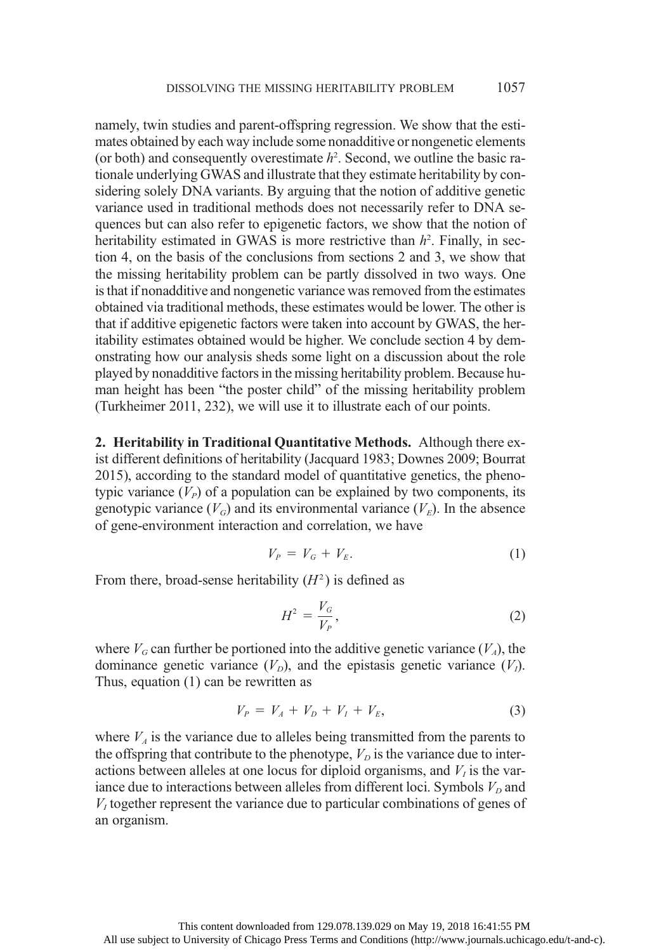namely, twin studies and parent-offspring regression. We show that the estimates obtained by each way include some nonadditive or nongenetic elements (or both) and consequently overestimate  $h^2$ . Second, we outline the basic rationale underlying GWAS and illustrate that they estimate heritability by considering solely DNA variants. By arguing that the notion of additive genetic variance used in traditional methods does not necessarily refer to DNA sequences but can also refer to epigenetic factors, we show that the notion of heritability estimated in GWAS is more restrictive than  $h^2$ . Finally, in section 4, on the basis of the conclusions from sections 2 and 3, we show that the missing heritability problem can be partly dissolved in two ways. One is that if nonadditive and nongenetic variance was removed from the estimates obtained via traditional methods, these estimates would be lower. The other is that if additive epigenetic factors were taken into account by GWAS, the heritability estimates obtained would be higher. We conclude section 4 by demonstrating how our analysis sheds some light on a discussion about the role played by nonadditive factors in the missing heritability problem. Because human height has been "the poster child" of the missing heritability problem (Turkheimer 2011, 232), we will use it to illustrate each of our points.

2. Heritability in Traditional Quantitative Methods. Although there exist different definitions of heritability (Jacquard 1983; Downes 2009; Bourrat 2015), according to the standard model of quantitative genetics, the phenotypic variance  $(V_P)$  of a population can be explained by two components, its genotypic variance  $(V_G)$  and its environmental variance  $(V_F)$ . In the absence of gene-environment interaction and correlation, we have

$$
V_P = V_G + V_E. \tag{1}
$$

From there, broad-sense heritability  $(H<sup>2</sup>)$  is defined as

$$
H^2 = \frac{V_G}{V_P},\tag{2}
$$

where  $V_G$  can further be portioned into the additive genetic variance  $(V_A)$ , the dominance genetic variance  $(V_D)$ , and the epistasis genetic variance  $(V_I)$ . Thus, equation (1) can be rewritten as

$$
V_P = V_A + V_D + V_I + V_E, \t\t(3)
$$

where  $V_A$  is the variance due to alleles being transmitted from the parents to the offspring that contribute to the phenotype,  $V_D$  is the variance due to interactions between alleles at one locus for diploid organisms, and  $V<sub>I</sub>$  is the variance due to interactions between alleles from different loci. Symbols  $V_D$  and  $V<sub>I</sub>$  together represent the variance due to particular combinations of genes of an organism.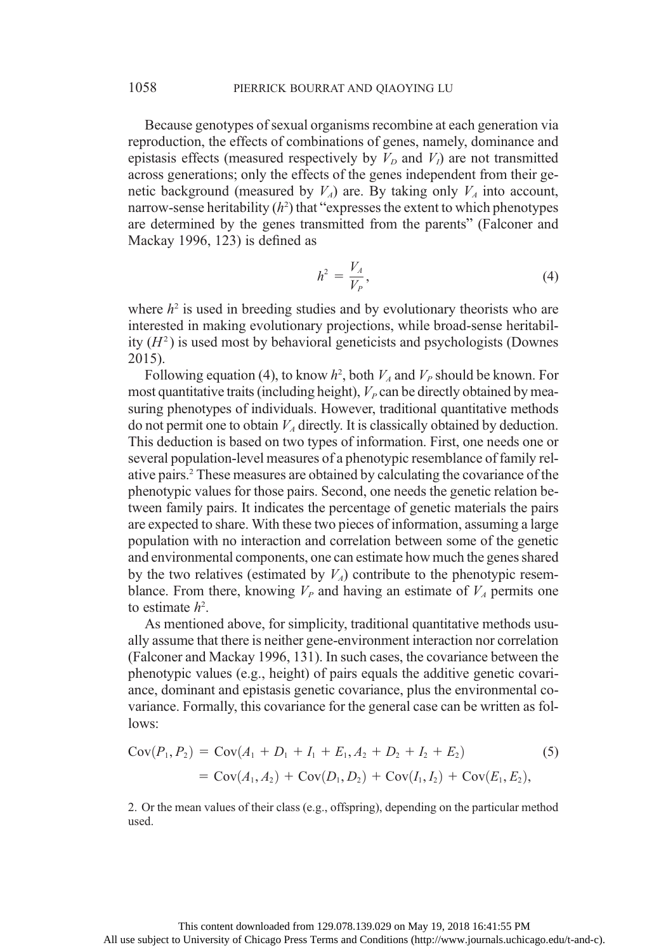Because genotypes of sexual organisms recombine at each generation via reproduction, the effects of combinations of genes, namely, dominance and epistasis effects (measured respectively by  $V_D$  and  $V_I$ ) are not transmitted across generations; only the effects of the genes independent from their genetic background (measured by  $V_A$ ) are. By taking only  $V_A$  into account, narrow-sense heritability  $(h^2)$  that "expresses the extent to which phenotypes are determined by the genes transmitted from the parents" (Falconer and Mackay 1996, 123) is defined as

$$
h^2 = \frac{V_A}{V_P},\tag{4}
$$

where  $h^2$  is used in breeding studies and by evolutionary theorists who are interested in making evolutionary projections, while broad-sense heritability  $(H<sup>2</sup>)$  is used most by behavioral geneticists and psychologists (Downes 2015).

Following equation (4), to know  $h^2$ , both  $V_A$  and  $V_P$  should be known. For most quantitative traits (including height),  $V_p$  can be directly obtained by measuring phenotypes of individuals. However, traditional quantitative methods do not permit one to obtain  $V_A$  directly. It is classically obtained by deduction. This deduction is based on two types of information. First, one needs one or several population-level measures of a phenotypic resemblance of family relative pairs.2 These measures are obtained by calculating the covariance of the phenotypic values for those pairs. Second, one needs the genetic relation between family pairs. It indicates the percentage of genetic materials the pairs are expected to share. With these two pieces of information, assuming a large population with no interaction and correlation between some of the genetic and environmental components, one can estimate how much the genes shared by the two relatives (estimated by  $V_A$ ) contribute to the phenotypic resemblance. From there, knowing  $V_P$  and having an estimate of  $V_A$  permits one to estimate  $h^2$ .

As mentioned above, for simplicity, traditional quantitative methods usually assume that there is neither gene-environment interaction nor correlation (Falconer and Mackay 1996, 131). In such cases, the covariance between the phenotypic values (e.g., height) of pairs equals the additive genetic covariance, dominant and epistasis genetic covariance, plus the environmental covariance. Formally, this covariance for the general case can be written as follows:

$$
Cov(P_1, P_2) = Cov(A_1 + D_1 + I_1 + E_1, A_2 + D_2 + I_2 + E_2)
$$
\n
$$
= Cov(A_1, A_2) + Cov(D_1, D_2) + Cov(I_1, I_2) + Cov(E_1, E_2),
$$
\n(5)

2. Or the mean values of their class (e.g., offspring), depending on the particular method used.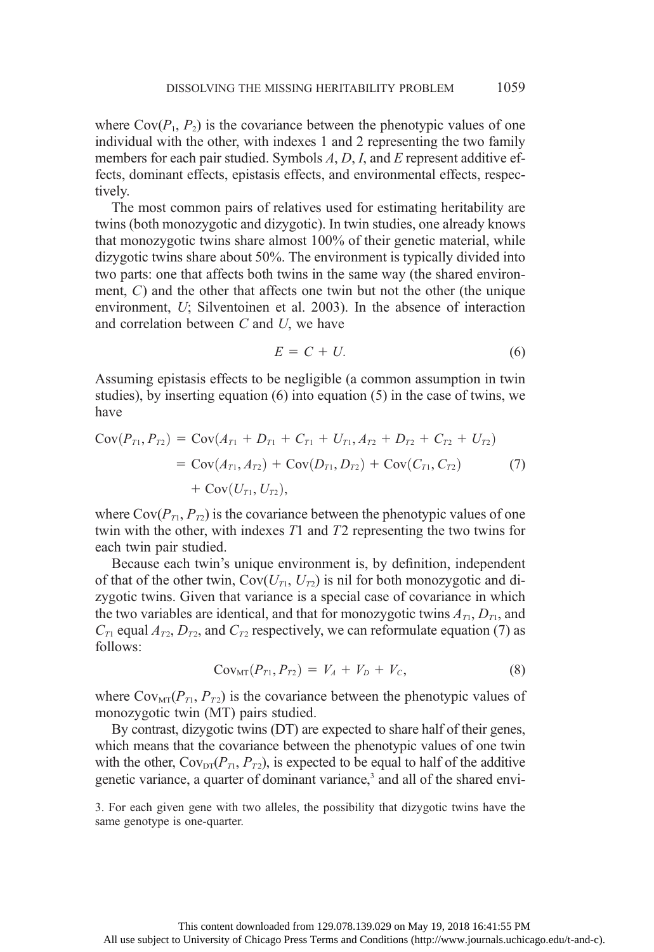where  $Cov(P_1, P_2)$  is the covariance between the phenotypic values of one individual with the other, with indexes 1 and 2 representing the two family members for each pair studied. Symbols  $A, D, I$ , and  $E$  represent additive effects, dominant effects, epistasis effects, and environmental effects, respectively.

The most common pairs of relatives used for estimating heritability are twins (both monozygotic and dizygotic). In twin studies, one already knows that monozygotic twins share almost 100% of their genetic material, while dizygotic twins share about 50%. The environment is typically divided into two parts: one that affects both twins in the same way (the shared environment, C) and the other that affects one twin but not the other (the unique environment, U; Silventoinen et al. 2003). In the absence of interaction and correlation between C and U, we have

$$
E = C + U.\tag{6}
$$

Assuming epistasis effects to be negligible (a common assumption in twin studies), by inserting equation (6) into equation (5) in the case of twins, we have

$$
Cov(P_{T1}, P_{T2}) = Cov(A_{T1} + D_{T1} + C_{T1} + U_{T1}, A_{T2} + D_{T2} + C_{T2} + U_{T2})
$$
  
=  $Cov(A_{T1}, A_{T2}) + Cov(D_{T1}, D_{T2}) + Cov(C_{T1}, C_{T2})$  (7)  
+  $Cov(U_{T1}, U_{T2}),$ 

where  $Cov(P_{T1}, P_{T2})$  is the covariance between the phenotypic values of one twin with the other, with indexes T1 and T2 representing the two twins for each twin pair studied.

Because each twin's unique environment is, by definition, independent of that of the other twin,  $Cov(U_T, U_T)$  is nil for both monozygotic and dizygotic twins. Given that variance is a special case of covariance in which the two variables are identical, and that for monozygotic twins  $A_{T1}$ ,  $D_{T1}$ , and  $C_{T1}$  equal  $A_{T2}$ ,  $D_{T2}$ , and  $C_{T2}$  respectively, we can reformulate equation (7) as follows:

$$
Cov_{MT}(P_{T1}, P_{T2}) = V_A + V_D + V_C, \qquad (8)
$$

where  $Cov<sub>MT</sub>(P<sub>T1</sub>, P<sub>T2</sub>)$  is the covariance between the phenotypic values of monozygotic twin (MT) pairs studied.

By contrast, dizygotic twins (DT) are expected to share half of their genes, which means that the covariance between the phenotypic values of one twin with the other,  $\text{Cov}_{\text{DT}}(P_{T_1}, P_{T_2})$ , is expected to be equal to half of the additive genetic variance, a quarter of dominant variance,<sup>3</sup> and all of the shared envi-

3. For each given gene with two alleles, the possibility that dizygotic twins have the same genotype is one-quarter.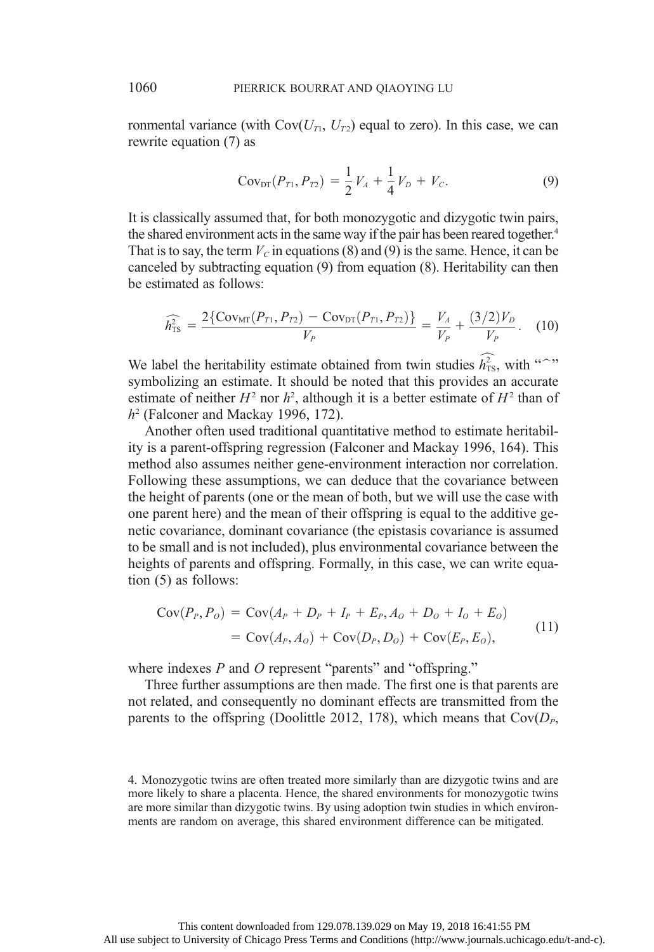ronmental variance (with  $Cov(U_{T1}, U_{T2})$  equal to zero). In this case, we can rewrite equation (7) as

$$
Cov_{DT}(P_{T1}, P_{T2}) = \frac{1}{2}V_A + \frac{1}{4}V_D + V_C.
$$
 (9)

It is classically assumed that, for both monozygotic and dizygotic twin pairs, the shared environment acts in the same way if the pair has been reared together.<sup>4</sup> That is to say, the term  $V_c$  in equations (8) and (9) is the same. Hence, it can be canceled by subtracting equation (9) from equation (8). Heritability can then be estimated as follows:

$$
\widehat{h_{\text{TS}}^2} = \frac{2\{\text{Cov}_{\text{MT}}(P_{T1}, P_{T2}) - \text{Cov}_{\text{DT}}(P_{T1}, P_{T2})\}}{V_P} = \frac{V_A}{V_P} + \frac{(3/2)V_D}{V_P}.
$$
 (10)

We label the heritability estimate obtained from twin studies  $\widehat{h_{\text{TS}}}$ , with "<sup>o</sup>" symbolizing an estimate. It should be noted that this provides an accurate estimate of neither  $H^2$  nor  $h^2$ , although it is a better estimate of  $H^2$  than of  $h<sup>2</sup>$  (Falconer and Mackay 1996, 172).

Another often used traditional quantitative method to estimate heritability is a parent-offspring regression (Falconer and Mackay 1996, 164). This method also assumes neither gene-environment interaction nor correlation. Following these assumptions, we can deduce that the covariance between the height of parents (one or the mean of both, but we will use the case with one parent here) and the mean of their offspring is equal to the additive genetic covariance, dominant covariance (the epistasis covariance is assumed to be small and is not included), plus environmental covariance between the heights of parents and offspring. Formally, in this case, we can write equation (5) as follows:

$$
Cov(P_P, P_O) = Cov(A_P + D_P + I_P + E_P, A_O + D_O + I_O + E_O)
$$
  
= Cov(A\_P, A\_O) + Cov(D\_P, D\_O) + Cov(E\_P, E\_O), (11)

where indexes  $P$  and  $O$  represent "parents" and "offspring."

Three further assumptions are then made. The first one is that parents are not related, and consequently no dominant effects are transmitted from the parents to the offspring (Doolittle 2012, 178), which means that  $Cov(D_p,$ 

<sup>4.</sup> Monozygotic twins are often treated more similarly than are dizygotic twins and are more likely to share a placenta. Hence, the shared environments for monozygotic twins are more similar than dizygotic twins. By using adoption twin studies in which environments are random on average, this shared environment difference can be mitigated.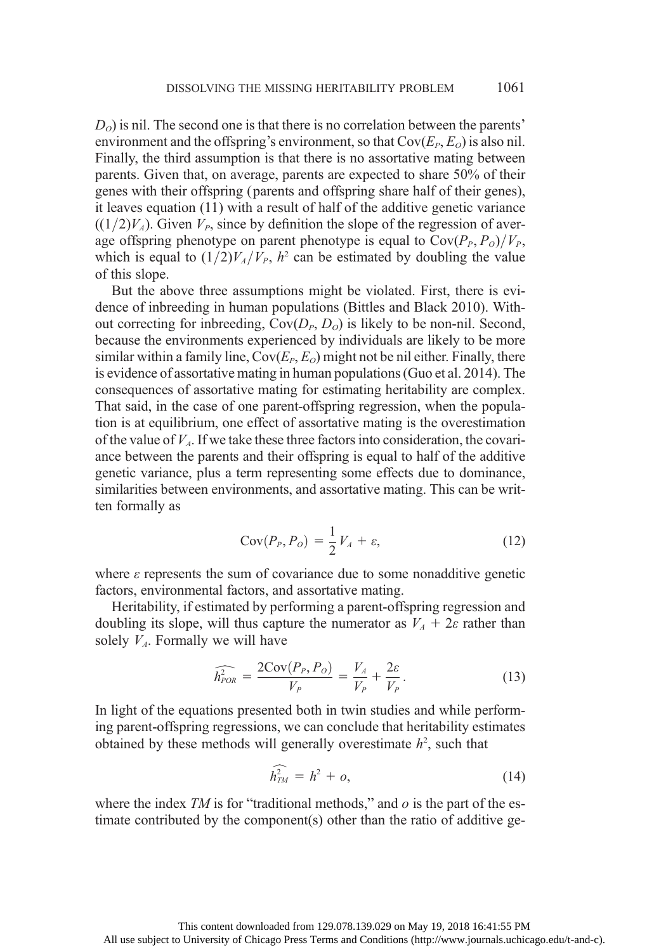$D<sub>o</sub>$ ) is nil. The second one is that there is no correlation between the parents' environment and the offspring's environment, so that  $Cov(E_P, E_Q)$  is also nil. Finally, the third assumption is that there is no assortative mating between parents. Given that, on average, parents are expected to share 50% of their genes with their offspring (parents and offspring share half of their genes), it leaves equation (11) with a result of half of the additive genetic variance  $((1/2)V_4)$ . Given  $V_P$ , since by definition the slope of the regression of average offspring phenotype on parent phenotype is equal to  $Cov(P_P, P_o)/V_P$ , which is equal to  $(1/2)V_A/V_P$ ,  $h^2$  can be estimated by doubling the value of this slope.

But the above three assumptions might be violated. First, there is evidence of inbreeding in human populations (Bittles and Black 2010). Without correcting for inbreeding,  $Cov(D_P, D_Q)$  is likely to be non-nil. Second, because the environments experienced by individuals are likely to be more similar within a family line,  $Cov(E_P, E_Q)$  might not be nil either. Finally, there is evidence of assortative mating in human populations (Guo et al. 2014). The consequences of assortative mating for estimating heritability are complex. That said, in the case of one parent-offspring regression, when the population is at equilibrium, one effect of assortative mating is the overestimation of the value of  $V<sub>4</sub>$ . If we take these three factors into consideration, the covariance between the parents and their offspring is equal to half of the additive genetic variance, plus a term representing some effects due to dominance, similarities between environments, and assortative mating. This can be written formally as

$$
Cov(P_P, P_o) = \frac{1}{2}V_A + \varepsilon,
$$
\n(12)

where  $\varepsilon$  represents the sum of covariance due to some nonadditive genetic factors, environmental factors, and assortative mating.

Heritability, if estimated by performing a parent-offspring regression and doubling its slope, will thus capture the numerator as  $V_A + 2\varepsilon$  rather than solely  $V<sub>A</sub>$ . Formally we will have

$$
\widehat{h_{POR}^2} = \frac{2\text{Cov}(P_P, P_O)}{V_P} = \frac{V_A}{V_P} + \frac{2\varepsilon}{V_P}.
$$
\n(13)

In light of the equations presented both in twin studies and while performing parent-offspring regressions, we can conclude that heritability estimates obtained by these methods will generally overestimate  $h^2$ , such that

$$
\widehat{h_{TM}^2} = h^2 + o,\tag{14}
$$

where the index  $TM$  is for "traditional methods," and  $o$  is the part of the estimate contributed by the component(s) other than the ratio of additive ge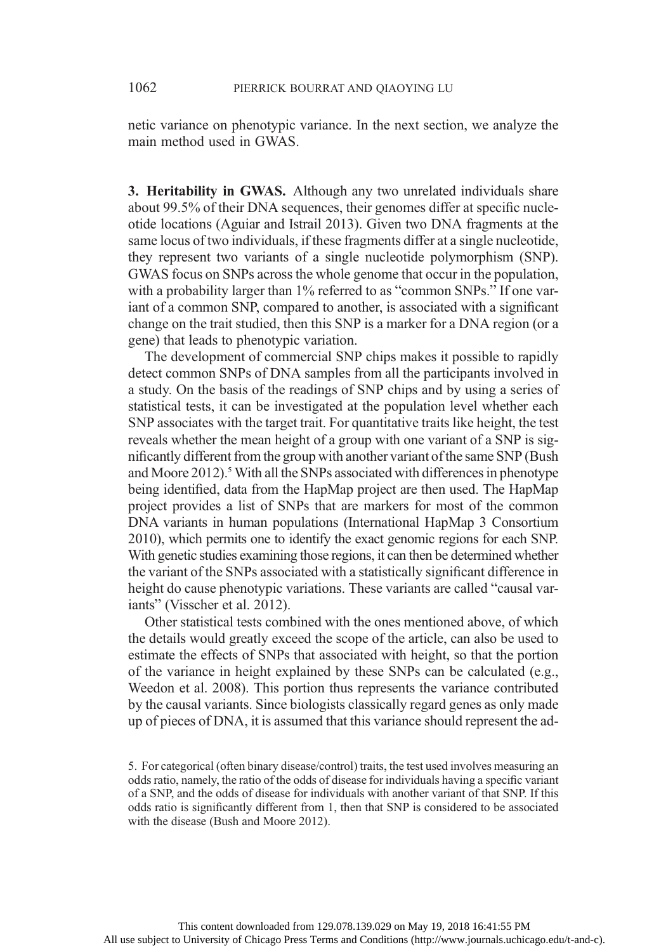netic variance on phenotypic variance. In the next section, we analyze the main method used in GWAS.

3. Heritability in GWAS. Although any two unrelated individuals share about 99.5% of their DNA sequences, their genomes differ at specific nucleotide locations (Aguiar and Istrail 2013). Given two DNA fragments at the same locus of two individuals, if these fragments differ at a single nucleotide, they represent two variants of a single nucleotide polymorphism (SNP). GWAS focus on SNPs across the whole genome that occur in the population, with a probability larger than 1% referred to as "common SNPs." If one variant of a common SNP, compared to another, is associated with a significant change on the trait studied, then this SNP is a marker for a DNA region (or a gene) that leads to phenotypic variation.

The development of commercial SNP chips makes it possible to rapidly detect common SNPs of DNA samples from all the participants involved in a study. On the basis of the readings of SNP chips and by using a series of statistical tests, it can be investigated at the population level whether each SNP associates with the target trait. For quantitative traits like height, the test reveals whether the mean height of a group with one variant of a SNP is significantly different from the group with another variant of the same SNP (Bush and Moore 2012).<sup>5</sup> With all the SNPs associated with differences in phenotype being identified, data from the HapMap project are then used. The HapMap project provides a list of SNPs that are markers for most of the common DNA variants in human populations (International HapMap 3 Consortium 2010), which permits one to identify the exact genomic regions for each SNP. With genetic studies examining those regions, it can then be determined whether the variant of the SNPs associated with a statistically significant difference in height do cause phenotypic variations. These variants are called "causal variants" (Visscher et al. 2012).

Other statistical tests combined with the ones mentioned above, of which the details would greatly exceed the scope of the article, can also be used to estimate the effects of SNPs that associated with height, so that the portion of the variance in height explained by these SNPs can be calculated (e.g., Weedon et al. 2008). This portion thus represents the variance contributed by the causal variants. Since biologists classically regard genes as only made up of pieces of DNA, it is assumed that this variance should represent the ad-

<sup>5.</sup> For categorical (often binary disease/control) traits, the test used involves measuring an odds ratio, namely, the ratio of the odds of disease for individuals having a specific variant of a SNP, and the odds of disease for individuals with another variant of that SNP. If this odds ratio is significantly different from 1, then that SNP is considered to be associated with the disease (Bush and Moore 2012).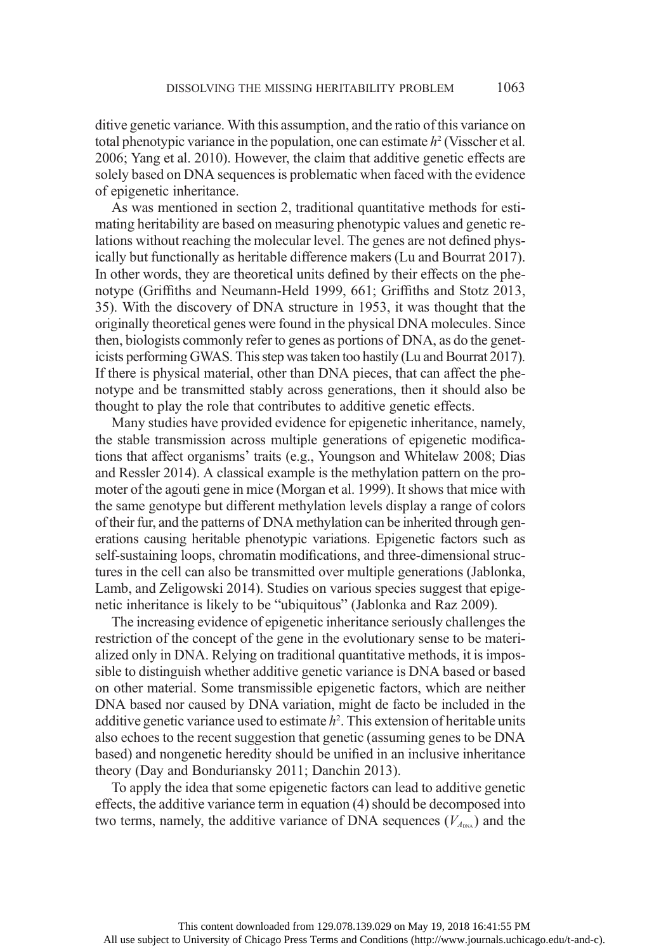ditive genetic variance. With this assumption, and the ratio of this variance on total phenotypic variance in the population, one can estimate  $h^2$  (Visscher et al. 2006; Yang et al. 2010). However, the claim that additive genetic effects are solely based on DNA sequences is problematic when faced with the evidence of epigenetic inheritance.

As was mentioned in section 2, traditional quantitative methods for estimating heritability are based on measuring phenotypic values and genetic relations without reaching the molecular level. The genes are not defined physically but functionally as heritable difference makers (Lu and Bourrat 2017). In other words, they are theoretical units defined by their effects on the phenotype (Griffiths and Neumann-Held 1999, 661; Griffiths and Stotz 2013, 35). With the discovery of DNA structure in 1953, it was thought that the originally theoretical genes were found in the physical DNA molecules. Since then, biologists commonly refer to genes as portions of DNA, as do the geneticists performing GWAS. This step was taken too hastily (Lu and Bourrat 2017). If there is physical material, other than DNA pieces, that can affect the phenotype and be transmitted stably across generations, then it should also be thought to play the role that contributes to additive genetic effects.

Many studies have provided evidence for epigenetic inheritance, namely, the stable transmission across multiple generations of epigenetic modifications that affect organisms' traits (e.g., Youngson and Whitelaw 2008; Dias and Ressler 2014). A classical example is the methylation pattern on the promoter of the agouti gene in mice (Morgan et al. 1999). It shows that mice with the same genotype but different methylation levels display a range of colors of their fur, and the patterns of DNA methylation can be inherited through generations causing heritable phenotypic variations. Epigenetic factors such as self-sustaining loops, chromatin modifications, and three-dimensional structures in the cell can also be transmitted over multiple generations (Jablonka, Lamb, and Zeligowski 2014). Studies on various species suggest that epigenetic inheritance is likely to be "ubiquitous" (Jablonka and Raz 2009).

The increasing evidence of epigenetic inheritance seriously challenges the restriction of the concept of the gene in the evolutionary sense to be materialized only in DNA. Relying on traditional quantitative methods, it is impossible to distinguish whether additive genetic variance is DNA based or based on other material. Some transmissible epigenetic factors, which are neither DNA based nor caused by DNA variation, might de facto be included in the additive genetic variance used to estimate  $h^2$ . This extension of heritable units also echoes to the recent suggestion that genetic (assuming genes to be DNA based) and nongenetic heredity should be unified in an inclusive inheritance theory (Day and Bonduriansky 2011; Danchin 2013).

To apply the idea that some epigenetic factors can lead to additive genetic effects, the additive variance term in equation (4) should be decomposed into two terms, namely, the additive variance of DNA sequences  $(V_{A_{\text{max}}})$  and the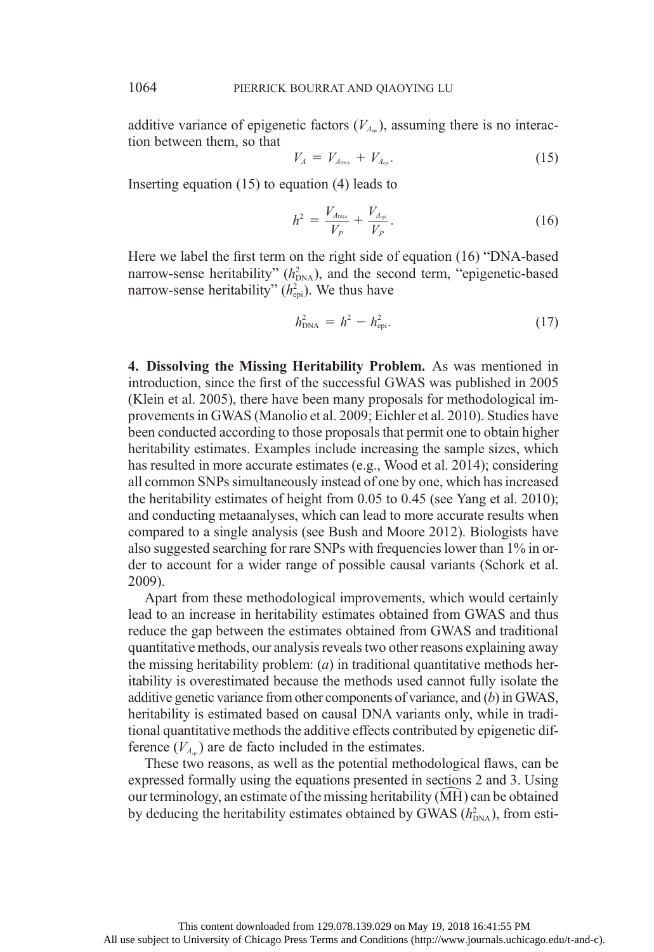additive variance of epigenetic factors  $(V_{A_{m}})$ , assuming there is no interaction between them, so that

$$
V_A = V_{A_{\text{DNA}}} + V_{A_{\text{cpi}}}.\tag{15}
$$

Inserting equation (15) to equation (4) leads to

$$
h^2 = \frac{V_{A_{\text{DNA}}}}{V_P} + \frac{V_{A_{\text{qsl}}}}{V_P}.
$$
 (16)

Here we label the first term on the right side of equation (16) "DNA-based narrow-sense heritability"  $(h_{DNA}^2)$ , and the second term, "epigenetic-based narrow-sense heritability" ( $h_{\text{epi}}^2$ ). We thus have

$$
h_{\rm DNA}^2 = h^2 - h_{\rm epi}^2. \tag{17}
$$

4. Dissolving the Missing Heritability Problem. As was mentioned in introduction, since the first of the successful GWAS was published in 2005 (Klein et al. 2005), there have been many proposals for methodological improvements in GWAS (Manolio et al. 2009; Eichler et al. 2010). Studies have been conducted according to those proposals that permit one to obtain higher heritability estimates. Examples include increasing the sample sizes, which has resulted in more accurate estimates (e.g., Wood et al. 2014); considering all common SNPs simultaneously instead of one by one, which has increased the heritability estimates of height from 0.05 to 0.45 (see Yang et al. 2010); and conducting metaanalyses, which can lead to more accurate results when compared to a single analysis (see Bush and Moore 2012). Biologists have also suggested searching for rare SNPs with frequencies lower than 1% in order to account for a wider range of possible causal variants (Schork et al. 2009).

Apart from these methodological improvements, which would certainly lead to an increase in heritability estimates obtained from GWAS and thus reduce the gap between the estimates obtained from GWAS and traditional quantitative methods, our analysis reveals two other reasons explaining away the missing heritability problem:  $(a)$  in traditional quantitative methods heritability is overestimated because the methods used cannot fully isolate the additive genetic variance from other components of variance, and (b) in GWAS, heritability is estimated based on causal DNA variants only, while in traditional quantitative methods the additive effects contributed by epigenetic difference  $(V_{A_{n}})$  are de facto included in the estimates.

These two reasons, as well as the potential methodological flaws, can be expressed formally using the equations presented in sections 2 and 3. Using our terminology, an estimate of the missing heritability (MH) can be obtained by deducing the heritability estimates obtained by GWAS  $(h_{DNA}^2)$ , from esti-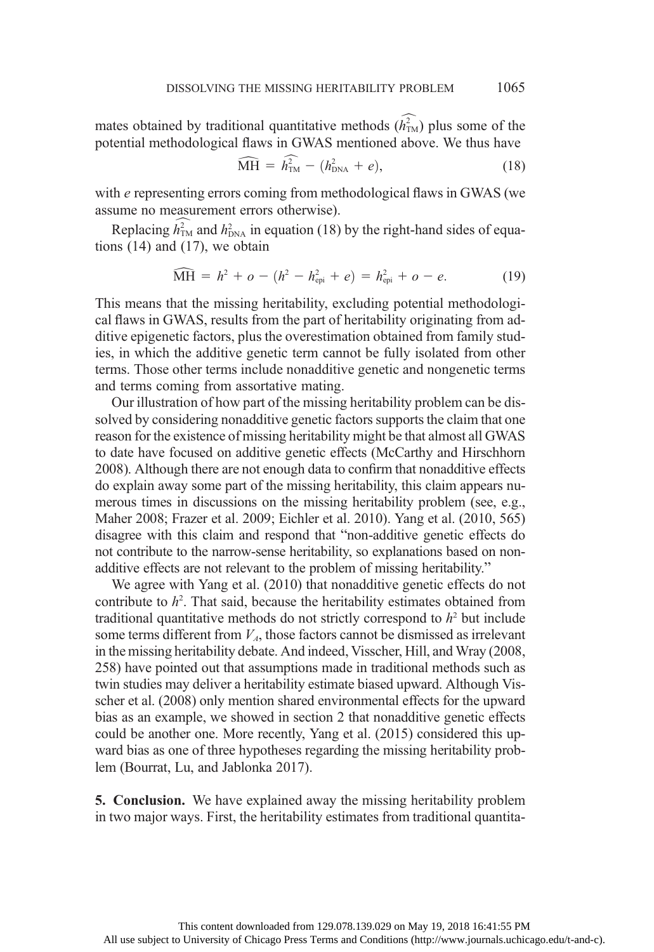mates obtained by traditional quantitative methods  $\widehat{h_{\text{TM}}}$  plus some of the potential methodological flaws in GWAS mentioned above. We thus have

$$
\widehat{\text{MH}} = \widehat{h}_{\text{TM}}^2 - (h_{\text{DNA}}^2 + e), \tag{18}
$$

with e representing errors coming from methodological flaws in GWAS (we assume no measurement errors otherwise).

Replacing  $\hat{h}_{\text{TM}}^2$  and  $h_{\text{DNA}}^2$  in equation (18) by the right-hand sides of equations (14) and (17), we obtain

$$
\widehat{\text{MH}} = h^2 + o - (h^2 - h_{\text{epi}}^2 + e) = h_{\text{epi}}^2 + o - e. \tag{19}
$$

This means that the missing heritability, excluding potential methodological flaws in GWAS, results from the part of heritability originating from additive epigenetic factors, plus the overestimation obtained from family studies, in which the additive genetic term cannot be fully isolated from other terms. Those other terms include nonadditive genetic and nongenetic terms and terms coming from assortative mating.

Our illustration of how part of the missing heritability problem can be dissolved by considering nonadditive genetic factors supports the claim that one reason for the existence of missing heritability might be that almost all GWAS to date have focused on additive genetic effects (McCarthy and Hirschhorn 2008). Although there are not enough data to confirm that nonadditive effects do explain away some part of the missing heritability, this claim appears numerous times in discussions on the missing heritability problem (see, e.g., Maher 2008; Frazer et al. 2009; Eichler et al. 2010). Yang et al. (2010, 565) disagree with this claim and respond that "non-additive genetic effects do not contribute to the narrow-sense heritability, so explanations based on nonadditive effects are not relevant to the problem of missing heritability."

We agree with Yang et al. (2010) that nonadditive genetic effects do not contribute to  $h^2$ . That said, because the heritability estimates obtained from traditional quantitative methods do not strictly correspond to  $h<sup>2</sup>$  but include some terms different from  $V_A$ , those factors cannot be dismissed as irrelevant in the missing heritability debate. And indeed, Visscher, Hill, and Wray (2008, 258) have pointed out that assumptions made in traditional methods such as twin studies may deliver a heritability estimate biased upward. Although Visscher et al. (2008) only mention shared environmental effects for the upward bias as an example, we showed in section 2 that nonadditive genetic effects could be another one. More recently, Yang et al. (2015) considered this upward bias as one of three hypotheses regarding the missing heritability problem (Bourrat, Lu, and Jablonka 2017).

5. Conclusion. We have explained away the missing heritability problem in two major ways. First, the heritability estimates from traditional quantita-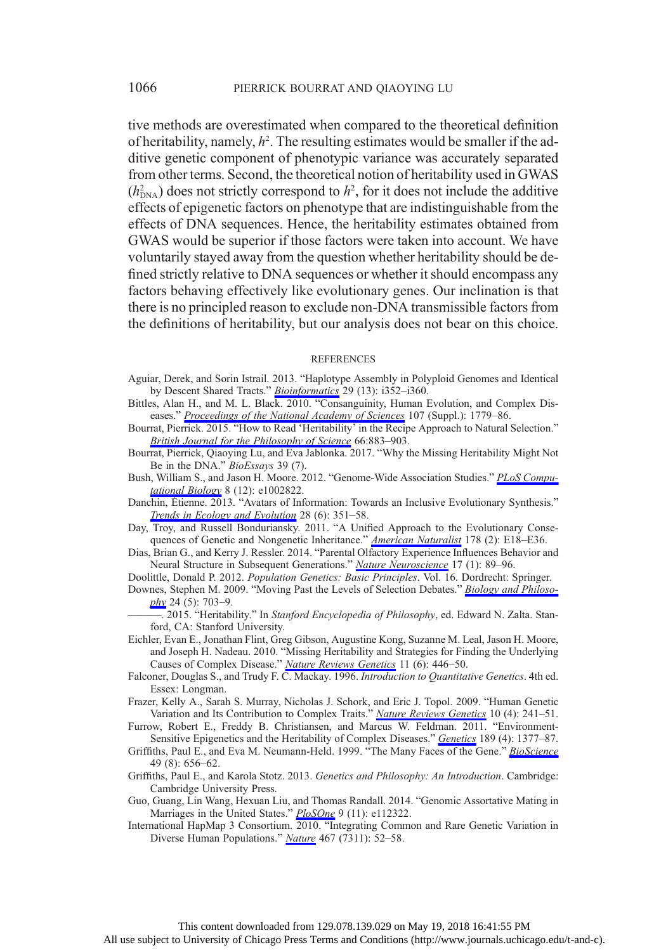tive methods are overestimated when compared to the theoretical definition of heritability, namely,  $h^2$ . The resulting estimates would be smaller if the additive genetic component of phenotypic variance was accurately separated from other terms. Second, the theoretical notion of heritability used in GWAS  $(h_{\text{DNA}}^2)$  does not strictly correspond to  $h^2$ , for it does not include the additive effects of epigenetic factors on phenotype that are indistinguishable from the effects of DNA sequences. Hence, the heritability estimates obtained from GWAS would be superior if those factors were taken into account. We have voluntarily stayed away from the question whether heritability should be defined strictly relative to DNA sequences or whether it should encompass any factors behaving effectively like evolutionary genes. Our inclination is that there is no principled reason to exclude non-DNA transmissible factors from the definitions of heritability, but our analysis does not bear on this choice.

## **REFERENCES**

- Aguiar, Derek, and Sorin Istrail. 2013. "Haplotype Assembly in Polyploid Genomes and Identical by Descent Shared Tracts." [Bioinformatics](https://www.journals.uchicago.edu/action/showLinks?doi=10.1086%2F694007&crossref=10.1093%2Fbioinformatics%2Fbtt213&citationId=p_5) 29 (13): i352–i360.
- Bittles, Alan H., and M. L. Black. 2010. "Consanguinity, Human Evolution, and Complex Diseases." [Proceedings of the National Academy of Sciences](https://www.journals.uchicago.edu/action/showLinks?doi=10.1086%2F694007&crossref=10.1073%2Fpnas.0906079106&citationId=p_6) 107 (Suppl.): 1779–86.

Bourrat, Pierrick. 2015. "How to Read 'Heritability' in the Recipe Approach to Natural Selection." [British Journal for the Philosophy of Science](https://www.journals.uchicago.edu/action/showLinks?doi=10.1086%2F694007&crossref=10.1093%2Fbjps%2Faxu015&citationId=p_7) 66:883–903.

- Bourrat, Pierrick, Qiaoying Lu, and Eva Jablonka. 2017. "Why the Missing Heritability Might Not Be in the DNA." BioEssays 39 (7).
- Bush, William S., and Jason H. Moore. 2012. "Genome-Wide Association Studies." [PLoS Compu](https://www.journals.uchicago.edu/action/showLinks?doi=10.1086%2F694007&crossref=10.1371%2Fjournal.pcbi.1002822&citationId=p_9)[tational Biology](https://www.journals.uchicago.edu/action/showLinks?doi=10.1086%2F694007&crossref=10.1371%2Fjournal.pcbi.1002822&citationId=p_9) 8 (12): e1002822.
- Danchin, Étienne. 2013. "Avatars of Information: Towards an Inclusive Evolutionary Synthesis." [Trends in Ecology and Evolution](https://www.journals.uchicago.edu/action/showLinks?doi=10.1086%2F694007&crossref=10.1016%2Fj.tree.2013.02.010&citationId=p_10) 28 (6): 351–58.
- Day, Troy, and Russell Bonduriansky. 2011. "A Unified Approach to the Evolutionary Conse-quences of Genetic and Nongenetic Inheritance." [American Naturalist](https://www.journals.uchicago.edu/action/showLinks?doi=10.1086%2F694007&system=10.1086%2F660911&citationId=p_11) 178 (2): E18-E36.
- Dias, Brian G., and Kerry J. Ressler. 2014. "Parental Olfactory Experience Influences Behavior and Neural Structure in Subsequent Generations." [Nature Neuroscience](https://www.journals.uchicago.edu/action/showLinks?doi=10.1086%2F694007&crossref=10.1038%2Fnn.3594&citationId=p_12) 17 (1): 89-96.
- Doolittle, Donald P. 2012. Population Genetics: Basic Principles. Vol. 16. Dordrecht: Springer.
- Downes, Stephen M. 2009. "Moving Past the Levels of Selection Debates." [Biology and Philoso](https://www.journals.uchicago.edu/action/showLinks?doi=10.1086%2F694007&crossref=10.1007%2Fs10539-008-9130-1&citationId=p_14) $phy$  24 (5): 703–9.
- -. 2015. "Heritability." In Stanford Encyclopedia of Philosophy, ed. Edward N. Zalta. Stanford, CA: Stanford University.
- Eichler, Evan E., Jonathan Flint, Greg Gibson, Augustine Kong, Suzanne M. Leal, Jason H. Moore, and Joseph H. Nadeau. 2010. "Missing Heritability and Strategies for Finding the Underlying Causes of Complex Disease." [Nature Reviews Genetics](https://www.journals.uchicago.edu/action/showLinks?doi=10.1086%2F694007&crossref=10.1038%2Fnrg2809&citationId=p_16) 11 (6): 446-50.
- Falconer, Douglas S., and Trudy F. C. Mackay. 1996. Introduction to Quantitative Genetics. 4th ed. Essex: Longman.
- Frazer, Kelly A., Sarah S. Murray, Nicholas J. Schork, and Eric J. Topol. 2009. "Human Genetic Variation and Its Contribution to Complex Traits." [Nature Reviews Genetics](https://www.journals.uchicago.edu/action/showLinks?doi=10.1086%2F694007&crossref=10.1038%2Fnrg2554&citationId=p_18) 10 (4): 241–51.
- Furrow, Robert E., Freddy B. Christiansen, and Marcus W. Feldman. 2011. "Environment-Sensitive Epigenetics and the Heritability of Complex Diseases." [Genetics](https://www.journals.uchicago.edu/action/showLinks?doi=10.1086%2F694007&crossref=10.1534%2Fgenetics.111.131912&citationId=p_19) 189 (4): 1377–87.
- Griffiths, Paul E., and Eva M. Neumann-Held. 1999. "The Many Faces of the Gene." [BioScience](https://www.journals.uchicago.edu/action/showLinks?doi=10.1086%2F694007&crossref=10.2307%2F1313441&citationId=p_20) 49 (8): 656–62.
- Griffiths, Paul E., and Karola Stotz. 2013. Genetics and Philosophy: An Introduction. Cambridge: Cambridge University Press.
- Guo, Guang, Lin Wang, Hexuan Liu, and Thomas Randall. 2014. "Genomic Assortative Mating in Marriages in the United States." [PloSOne](https://www.journals.uchicago.edu/action/showLinks?doi=10.1086%2F694007&crossref=10.1371%2Fjournal.pone.0112322&citationId=p_22) 9 (11): e112322.
- International HapMap 3 Consortium. 2010. "Integrating Common and Rare Genetic Variation in Diverse Human Populations." [Nature](https://www.journals.uchicago.edu/action/showLinks?doi=10.1086%2F694007&crossref=10.1038%2Fnature09298&citationId=p_23) 467 (7311): 52-58.